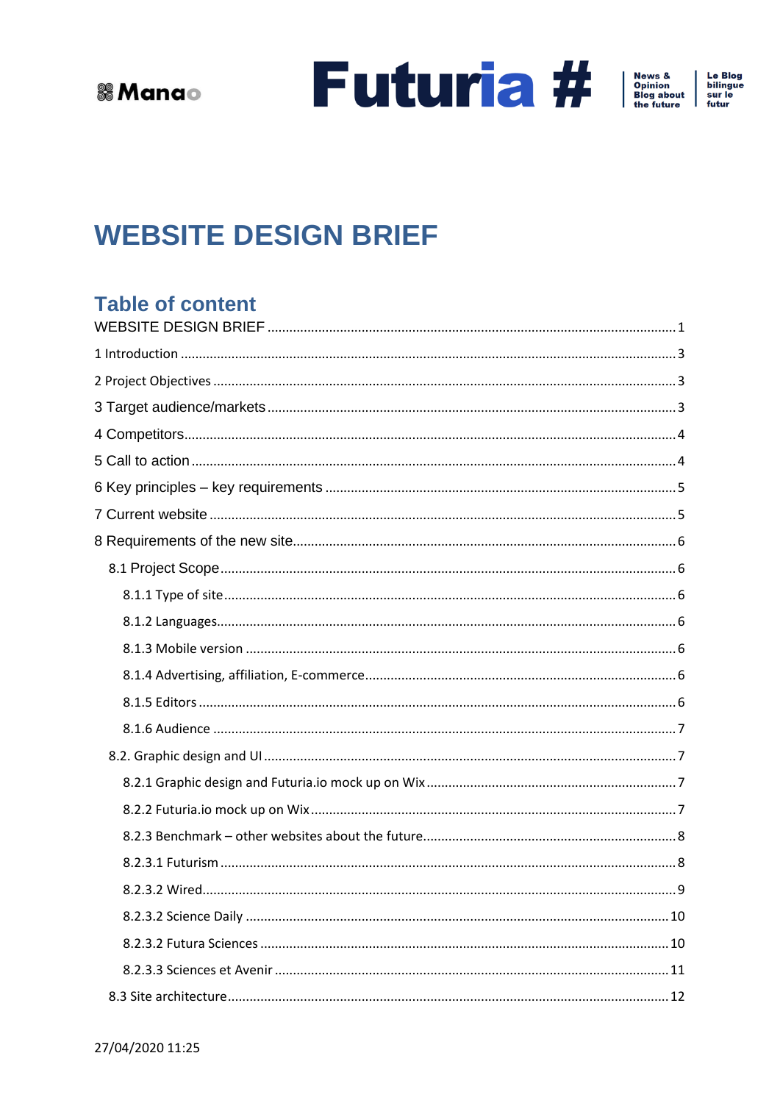Future and the future

Le Blog<br>bilingue<br>sur le<br>futur

# <span id="page-0-0"></span>**WEBSITE DESIGN BRIEF**

### **Table of content**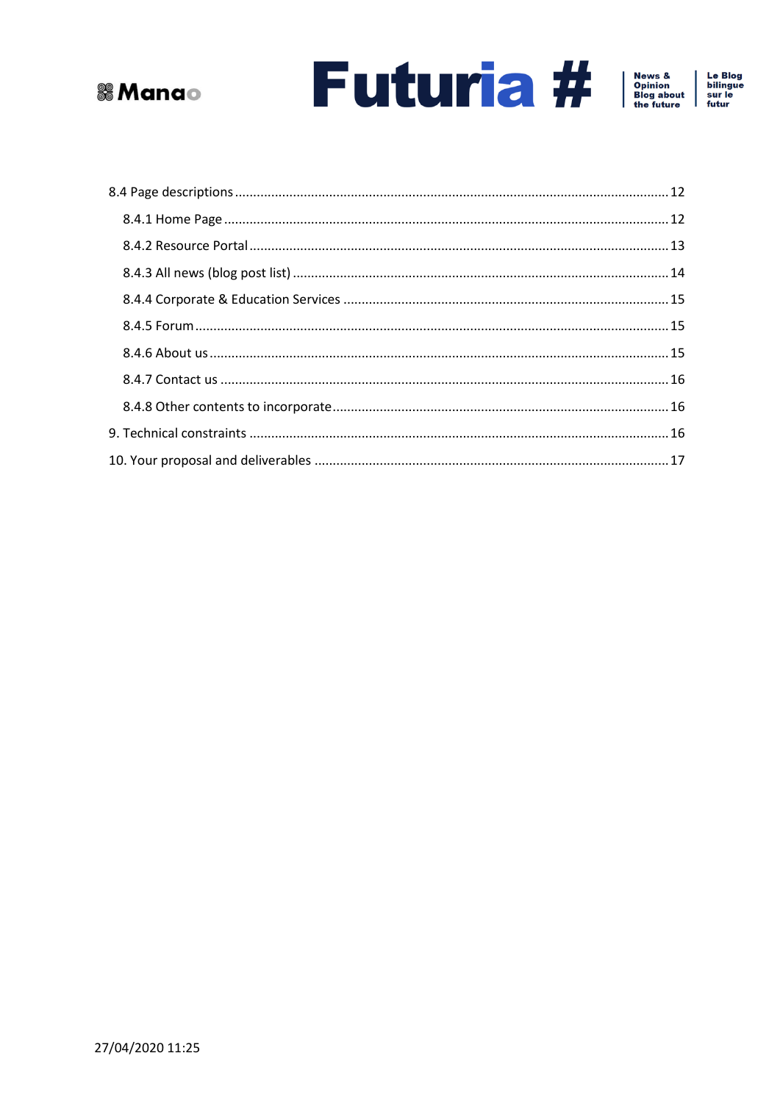





Le Blog<br>bilingue<br>sur le<br>futur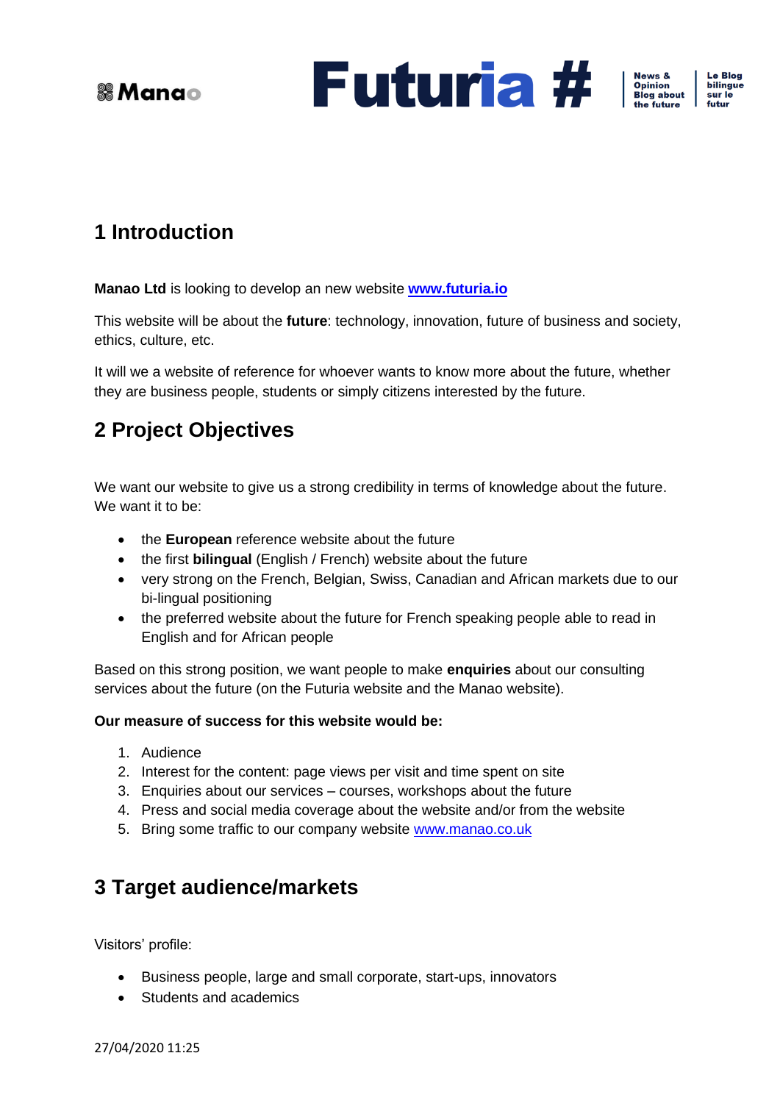

News &<br>Opinion<br>Blog about

**Le Blog** bilingue sur le futur

## <span id="page-2-0"></span>**1 Introduction**

**Manao Ltd** is looking to develop an new website **[www.futuria.io](http://www.futuria.io/)** 

This website will be about the **future**: technology, innovation, future of business and society, ethics, culture, etc.

It will we a website of reference for whoever wants to know more about the future, whether they are business people, students or simply citizens interested by the future.

## <span id="page-2-1"></span>**2 Project Objectives**

We want our website to give us a strong credibility in terms of knowledge about the future. We want it to be:

- the **European** reference website about the future
- the first **bilingual** (English / French) website about the future
- very strong on the French, Belgian, Swiss, Canadian and African markets due to our bi-lingual positioning
- the preferred website about the future for French speaking people able to read in English and for African people

Based on this strong position, we want people to make **enquiries** about our consulting services about the future (on the Futuria website and the Manao website).

#### **Our measure of success for this website would be:**

- 1. Audience
- 2. Interest for the content: page views per visit and time spent on site
- 3. Enquiries about our services courses, workshops about the future
- 4. Press and social media coverage about the website and/or from the website
- 5. Bring some traffic to our company website [www.manao.co.uk](http://www.manao.co.uk/)

### <span id="page-2-2"></span>**3 Target audience/markets**

Visitors' profile:

- Business people, large and small corporate, start-ups, innovators
- Students and academics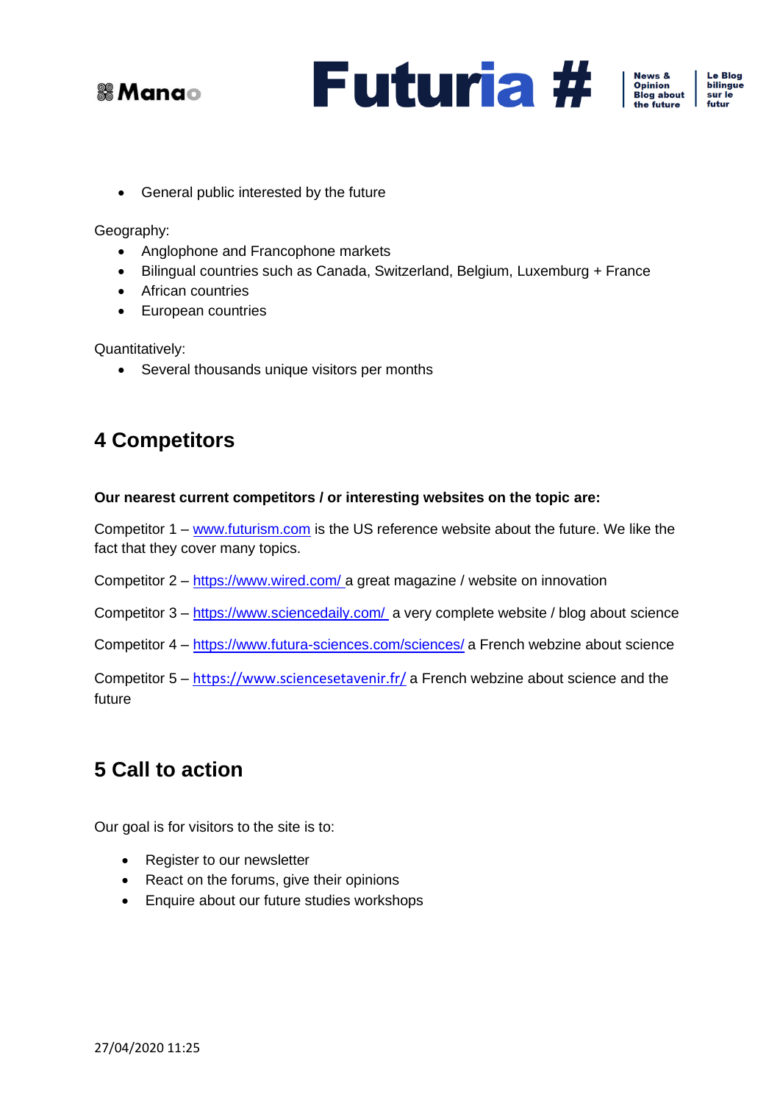





Le Blog bilingue sur le futur

• General public interested by the future

Geography:

- Anglophone and Francophone markets
- Bilingual countries such as Canada, Switzerland, Belgium, Luxemburg + France
- African countries
- European countries

Quantitatively:

• Several thousands unique visitors per months

### <span id="page-3-0"></span>**4 Competitors**

#### **Our nearest current competitors / or interesting websites on the topic are:**

Competitor 1 – [www.futurism.com](http://www.futurism.com/) is the US reference website about the future. We like the fact that they cover many topics.

Competitor 2 – <https://www.wired.com/> a great magazine / website on innovation

Competitor 3 – <https://www.sciencedaily.com/> a very complete website / blog about science

Competitor 4 – <https://www.futura-sciences.com/sciences/> a French webzine about science

Competitor 5 – <https://www.sciencesetavenir.fr/> a French webzine about science and the future

## <span id="page-3-1"></span>**5 Call to action**

Our goal is for visitors to the site is to:

- Register to our newsletter
- React on the forums, give their opinions
- Enquire about our future studies workshops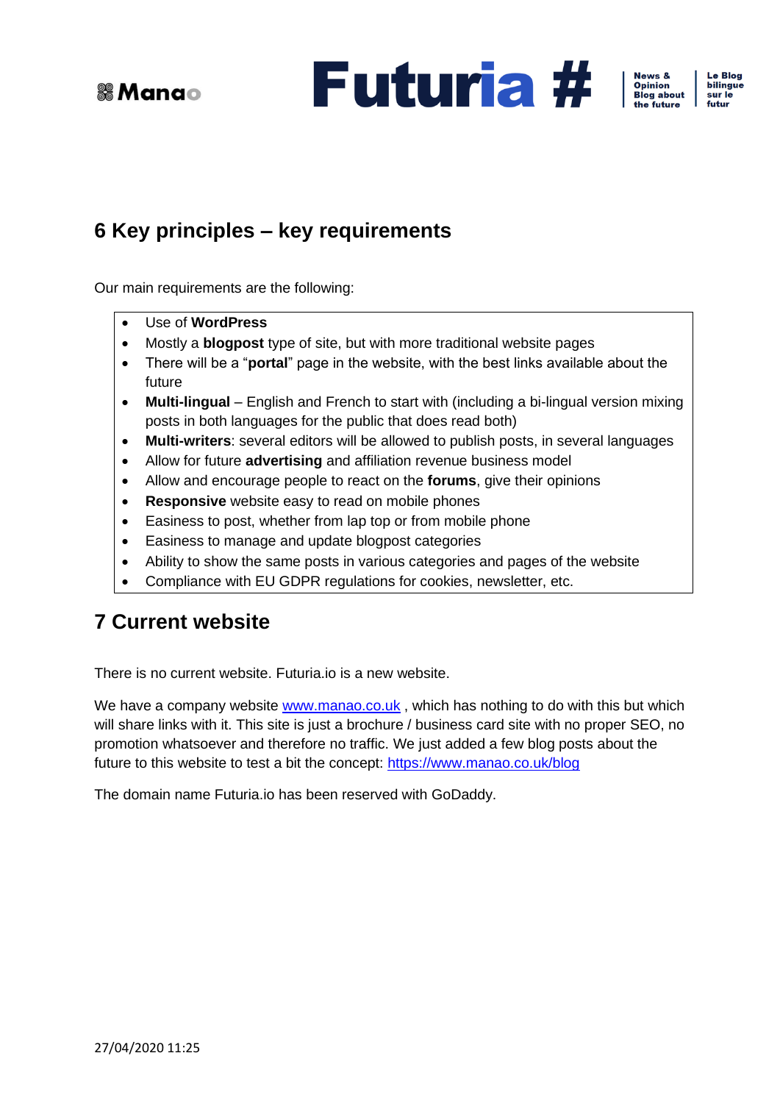**Futuria #** 

News &<br>Opinion<br>Blog about

Le Blog bilingue sur le futur

## <span id="page-4-0"></span>**6 Key principles – key requirements**

Our main requirements are the following:

- Use of **WordPress**
- Mostly a **blogpost** type of site, but with more traditional website pages
- There will be a "**portal**" page in the website, with the best links available about the future
- **Multi-lingual** English and French to start with (including a bi-lingual version mixing posts in both languages for the public that does read both)
- **Multi-writers**: several editors will be allowed to publish posts, in several languages
- Allow for future **advertising** and affiliation revenue business model
- Allow and encourage people to react on the **forums**, give their opinions
- **Responsive** website easy to read on mobile phones
- Easiness to post, whether from lap top or from mobile phone
- Easiness to manage and update blogpost categories
- Ability to show the same posts in various categories and pages of the website
- Compliance with EU GDPR regulations for cookies, newsletter, etc.

### <span id="page-4-1"></span>**7 Current website**

There is no current website. Futuria.io is a new website.

We have a company website [www.manao.co.uk](http://www.manao.co.uk/), which has nothing to do with this but which will share links with it. This site is just a brochure / business card site with no proper SEO, no promotion whatsoever and therefore no traffic. We just added a few blog posts about the future to this website to test a bit the concept:<https://www.manao.co.uk/blog>

The domain name Futuria.io has been reserved with GoDaddy.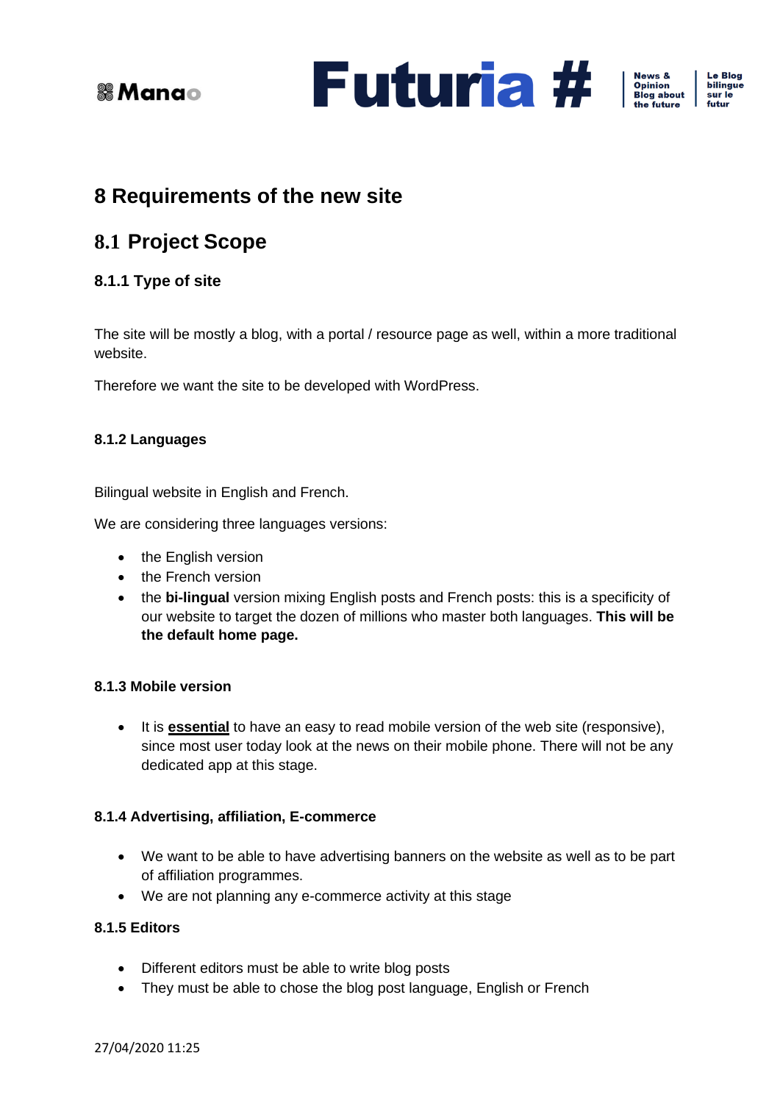

Le Blog bilingue sur le futur

## <span id="page-5-0"></span>**8 Requirements of the new site**

## <span id="page-5-1"></span>**8.1 Project Scope**

### <span id="page-5-2"></span>**8.1.1 Type of site**

The site will be mostly a blog, with a portal / resource page as well, within a more traditional website.

Therefore we want the site to be developed with WordPress.

### <span id="page-5-3"></span>**8.1.2 Languages**

Bilingual website in English and French.

We are considering three languages versions:

- the English version
- the French version
- the **bi-lingual** version mixing English posts and French posts: this is a specificity of our website to target the dozen of millions who master both languages. **This will be the default home page.**

### <span id="page-5-4"></span>**8.1.3 Mobile version**

• It is **essential** to have an easy to read mobile version of the web site (responsive), since most user today look at the news on their mobile phone. There will not be any dedicated app at this stage.

### <span id="page-5-5"></span>**8.1.4 Advertising, affiliation, E-commerce**

- We want to be able to have advertising banners on the website as well as to be part of affiliation programmes.
- We are not planning any e-commerce activity at this stage

### <span id="page-5-6"></span>**8.1.5 Editors**

- Different editors must be able to write blog posts
- They must be able to chose the blog post language, English or French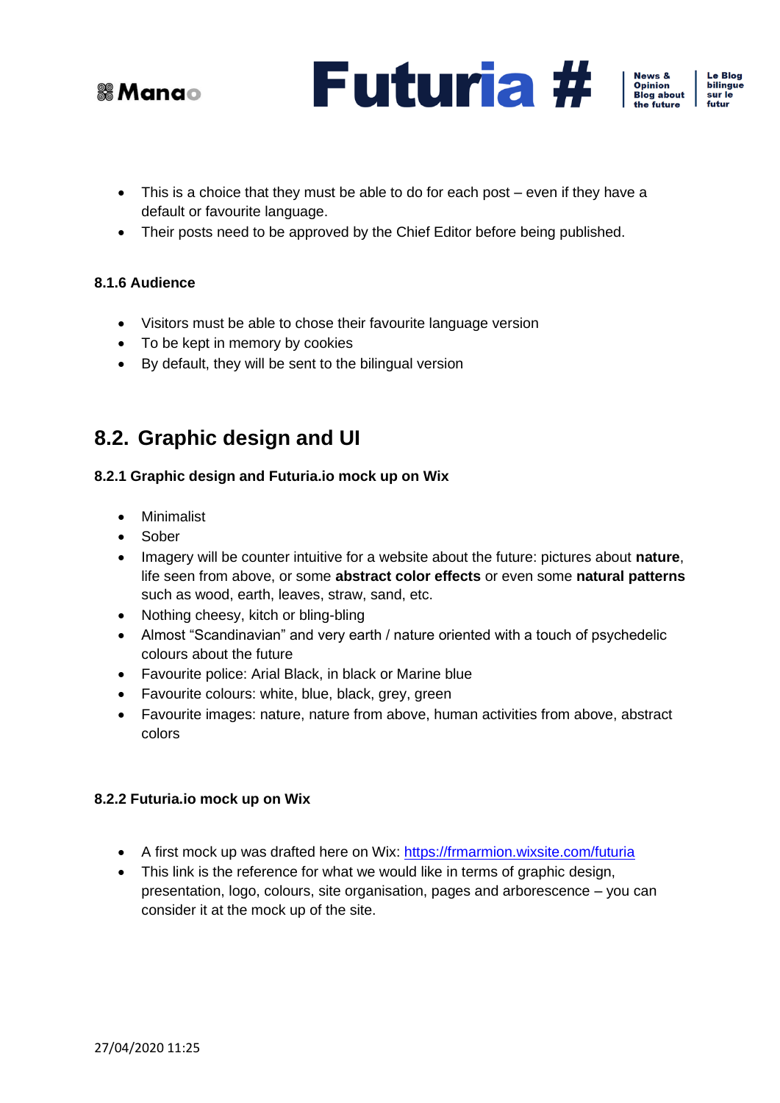



Le Blog bilingue

sur le futur

- This is a choice that they must be able to do for each post even if they have a default or favourite language.
- Their posts need to be approved by the Chief Editor before being published.

#### <span id="page-6-0"></span>**8.1.6 Audience**

- Visitors must be able to chose their favourite language version
- To be kept in memory by cookies
- By default, they will be sent to the bilingual version

### <span id="page-6-1"></span>**8.2. Graphic design and UI**

#### <span id="page-6-2"></span>**8.2.1 Graphic design and Futuria.io mock up on Wix**

- Minimalist
- Sober
- Imagery will be counter intuitive for a website about the future: pictures about **nature**, life seen from above, or some **abstract color effects** or even some **natural patterns** such as wood, earth, leaves, straw, sand, etc.
- Nothing cheesy, kitch or bling-bling
- Almost "Scandinavian" and very earth / nature oriented with a touch of psychedelic colours about the future
- Favourite police: Arial Black, in black or Marine blue
- Favourite colours: white, blue, black, grey, green
- Favourite images: nature, nature from above, human activities from above, abstract colors

#### <span id="page-6-3"></span>**8.2.2 Futuria.io mock up on Wix**

- A first mock up was drafted here on Wix:<https://frmarmion.wixsite.com/futuria>
- This link is the reference for what we would like in terms of graphic design, presentation, logo, colours, site organisation, pages and arborescence – you can consider it at the mock up of the site.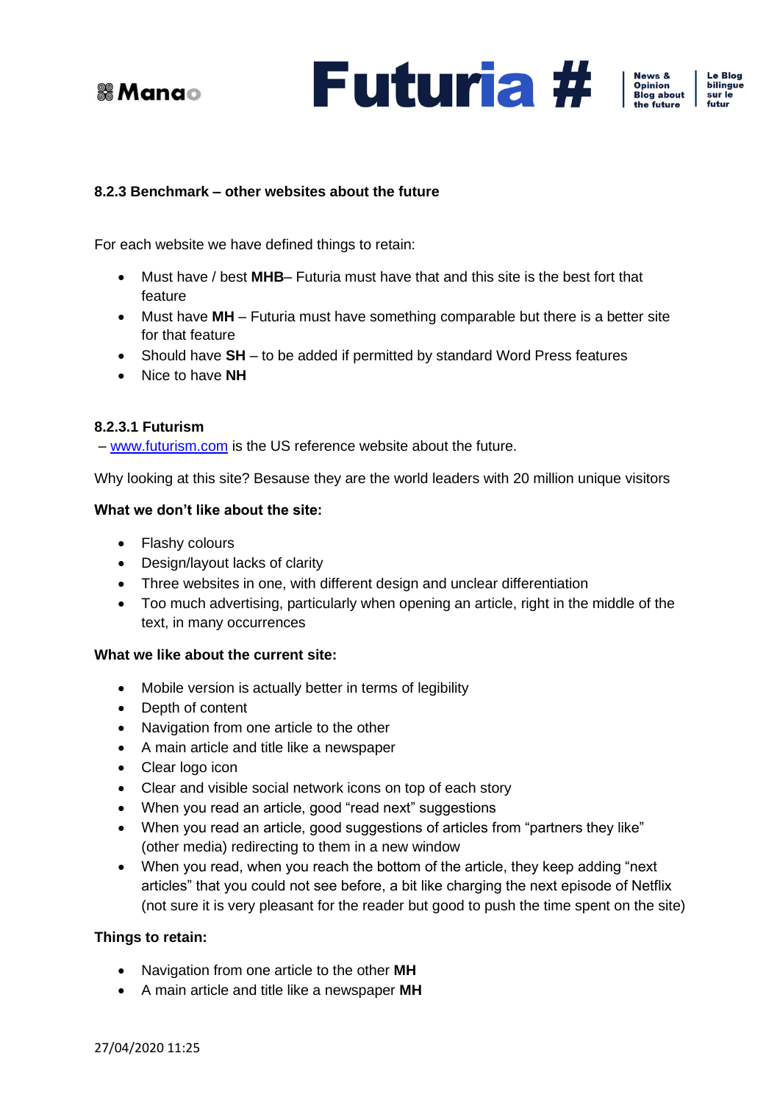





e Blog bilingue sur le futur

#### <span id="page-7-0"></span>**8.2.3 Benchmark – other websites about the future**

For each website we have defined things to retain:

- Must have / best **MHB** Futuria must have that and this site is the best fort that feature
- Must have **MH** Futuria must have something comparable but there is a better site for that feature
- Should have **SH** to be added if permitted by standard Word Press features
- Nice to have **NH**

#### <span id="page-7-1"></span>**8.2.3.1 Futurism**

– [www.futurism.com](http://www.futurism.com/) is the US reference website about the future.

Why looking at this site? Besause they are the world leaders with 20 million unique visitors

#### **What we don't like about the site:**

- Flashy colours
- Design/layout lacks of clarity
- Three websites in one, with different design and unclear differentiation
- Too much advertising, particularly when opening an article, right in the middle of the text, in many occurrences

#### **What we like about the current site:**

- Mobile version is actually better in terms of legibility
- Depth of content
- Navigation from one article to the other
- A main article and title like a newspaper
- Clear logo icon
- Clear and visible social network icons on top of each story
- When you read an article, good "read next" suggestions
- When you read an article, good suggestions of articles from "partners they like" (other media) redirecting to them in a new window
- When you read, when you reach the bottom of the article, they keep adding "next articles" that you could not see before, a bit like charging the next episode of Netflix (not sure it is very pleasant for the reader but good to push the time spent on the site)

#### **Things to retain:**

- Navigation from one article to the other **MH**
- A main article and title like a newspaper **MH**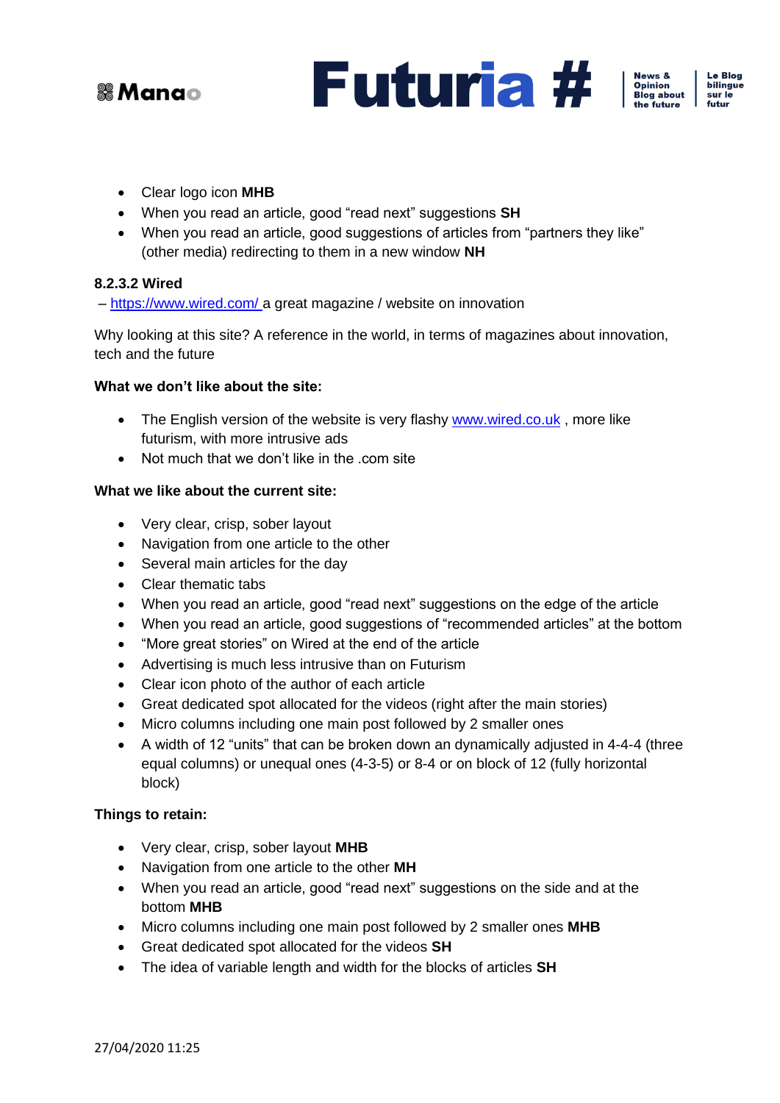





Le Blog bilingue sur le futur

- Clear logo icon **MHB**
- When you read an article, good "read next" suggestions **SH**
- When you read an article, good suggestions of articles from "partners they like" (other media) redirecting to them in a new window **NH**

#### <span id="page-8-0"></span>**8.2.3.2 Wired**

– <https://www.wired.com/> a great magazine / website on innovation

Why looking at this site? A reference in the world, in terms of magazines about innovation, tech and the future

#### **What we don't like about the site:**

- The English version of the website is very flashy [www.wired.co.uk](http://www.wired.co.uk/), more like futurism, with more intrusive ads
- Not much that we don't like in the .com site

#### **What we like about the current site:**

- Very clear, crisp, sober layout
- Navigation from one article to the other
- Several main articles for the day
- Clear thematic tabs
- When you read an article, good "read next" suggestions on the edge of the article
- When you read an article, good suggestions of "recommended articles" at the bottom
- "More great stories" on Wired at the end of the article
- Advertising is much less intrusive than on Futurism
- Clear icon photo of the author of each article
- Great dedicated spot allocated for the videos (right after the main stories)
- Micro columns including one main post followed by 2 smaller ones
- A width of 12 "units" that can be broken down an dynamically adjusted in 4-4-4 (three equal columns) or unequal ones (4-3-5) or 8-4 or on block of 12 (fully horizontal block)

#### **Things to retain:**

- Very clear, crisp, sober layout **MHB**
- Navigation from one article to the other **MH**
- When you read an article, good "read next" suggestions on the side and at the bottom **MHB**
- Micro columns including one main post followed by 2 smaller ones **MHB**
- Great dedicated spot allocated for the videos **SH**
- The idea of variable length and width for the blocks of articles **SH**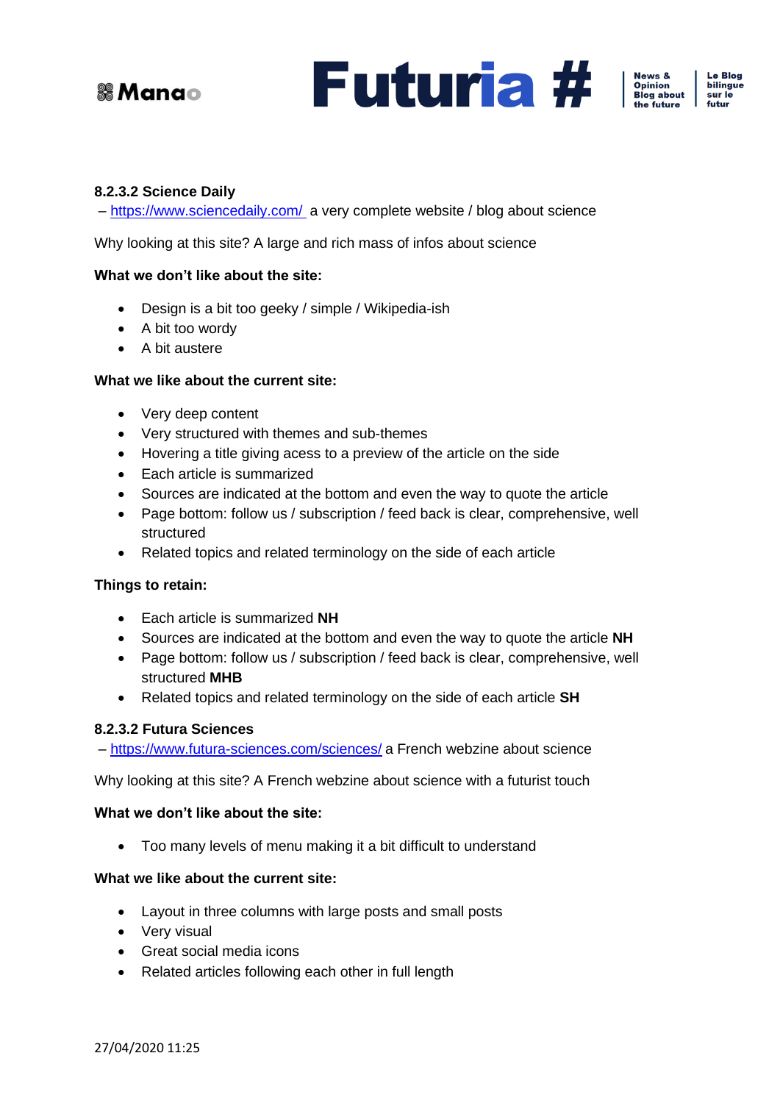



News &<br>Opinion<br>Blog about

e Blog bilingue

sur le futur

<span id="page-9-0"></span>

– <https://www.sciencedaily.com/> a very complete website / blog about science

Why looking at this site? A large and rich mass of infos about science

#### **What we don't like about the site:**

- Design is a bit too geeky / simple / Wikipedia-ish
- A bit too wordy
- A bit austere

#### **What we like about the current site:**

- Very deep content
- Very structured with themes and sub-themes
- Hovering a title giving acess to a preview of the article on the side
- Each article is summarized
- Sources are indicated at the bottom and even the way to quote the article
- Page bottom: follow us / subscription / feed back is clear, comprehensive, well structured
- Related topics and related terminology on the side of each article

#### **Things to retain:**

- Each article is summarized **NH**
- Sources are indicated at the bottom and even the way to quote the article **NH**
- Page bottom: follow us / subscription / feed back is clear, comprehensive, well structured **MHB**
- Related topics and related terminology on the side of each article **SH**

#### <span id="page-9-1"></span>**8.2.3.2 Futura Sciences**

– <https://www.futura-sciences.com/sciences/> a French webzine about science

Why looking at this site? A French webzine about science with a futurist touch

#### **What we don't like about the site:**

• Too many levels of menu making it a bit difficult to understand

#### **What we like about the current site:**

- Layout in three columns with large posts and small posts
- Very visual
- Great social media icons
- Related articles following each other in full length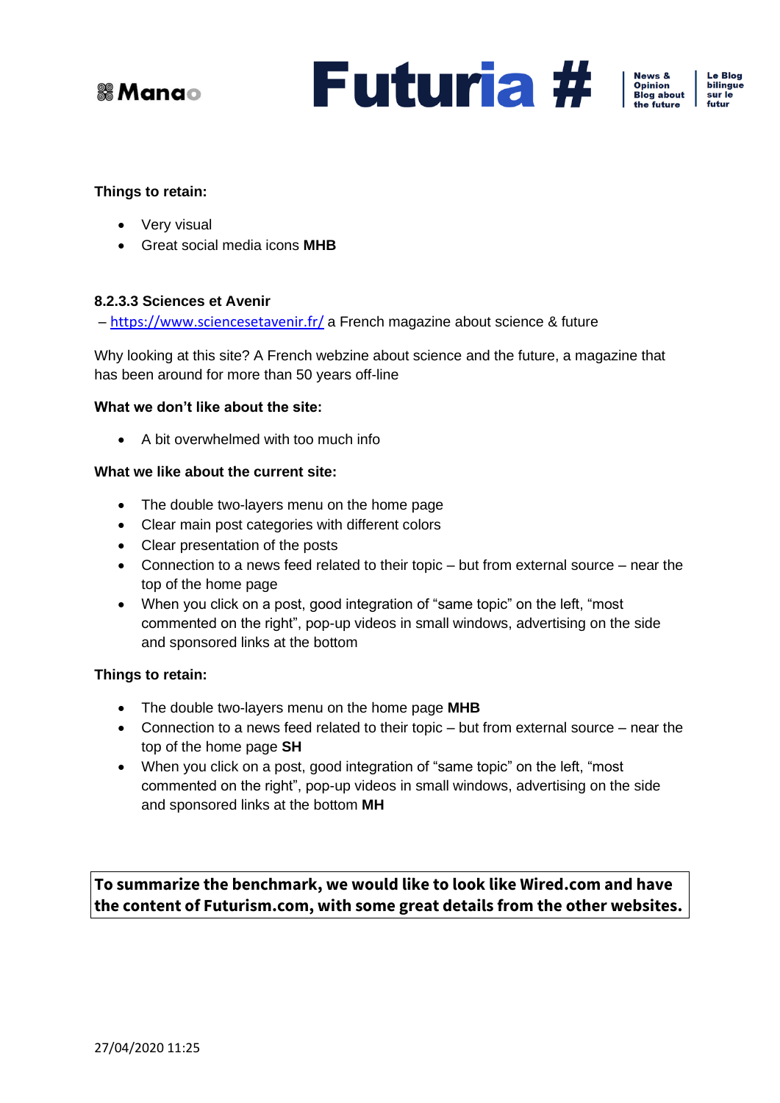



News &<br>Opinion<br>Blog about

**Le Blog** bilingue sur le futur

#### **Things to retain:**

- Very visual
- Great social media icons **MHB**

#### <span id="page-10-0"></span>**8.2.3.3 Sciences et Avenir**

– <https://www.sciencesetavenir.fr/> a French magazine about science & future

Why looking at this site? A French webzine about science and the future, a magazine that has been around for more than 50 years off-line

#### **What we don't like about the site:**

• A bit overwhelmed with too much info

#### **What we like about the current site:**

- The double two-layers menu on the home page
- Clear main post categories with different colors
- Clear presentation of the posts
- Connection to a news feed related to their topic but from external source near the top of the home page
- When you click on a post, good integration of "same topic" on the left, "most commented on the right", pop-up videos in small windows, advertising on the side and sponsored links at the bottom

#### **Things to retain:**

- The double two-layers menu on the home page **MHB**
- Connection to a news feed related to their topic but from external source near the top of the home page **SH**
- When you click on a post, good integration of "same topic" on the left, "most commented on the right", pop-up videos in small windows, advertising on the side and sponsored links at the bottom **MH**

**To summarize the benchmark, we would like to look like Wired.com and have the content of Futurism.com, with some great details from the other websites.**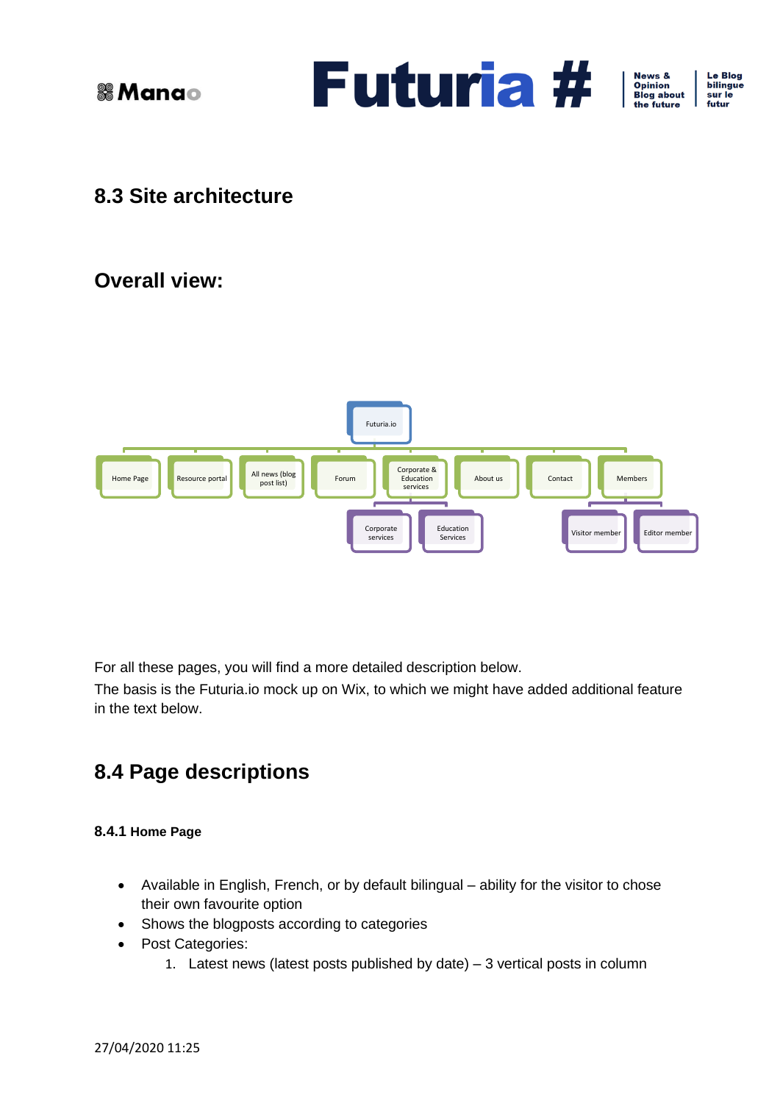

News &<br>Opinion<br>Blog about the future

**Le Blog** bilingue sur le futur

## <span id="page-11-0"></span>**8.3 Site architecture**

### **Overall view:**



For all these pages, you will find a more detailed description below.

The basis is the Futuria.io mock up on Wix, to which we might have added additional feature in the text below.

### <span id="page-11-1"></span>**8.4 Page descriptions**

#### <span id="page-11-2"></span>**8.4.1 Home Page**

- Available in English, French, or by default bilingual ability for the visitor to chose their own favourite option
- Shows the blogposts according to categories
- Post Categories:
	- 1. Latest news (latest posts published by date) 3 vertical posts in column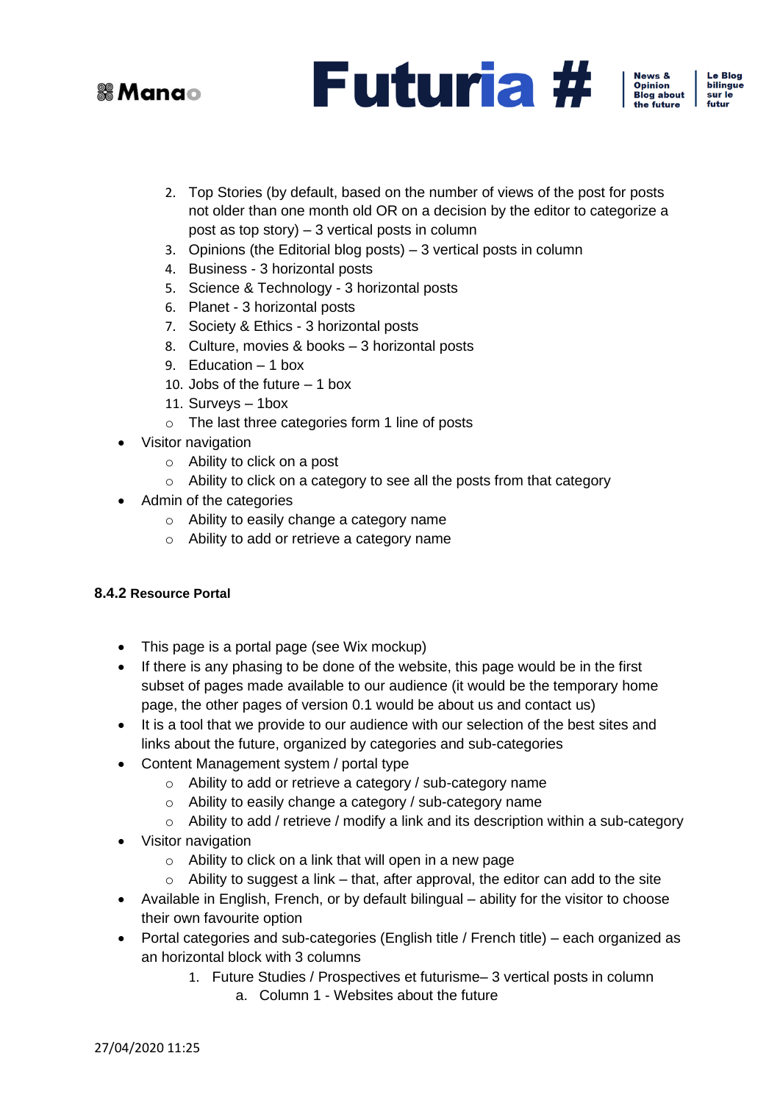



Le Blog bilingue sur le futur

- 2. Top Stories (by default, based on the number of views of the post for posts not older than one month old OR on a decision by the editor to categorize a post as top story) – 3 vertical posts in column
- 3. Opinions (the Editorial blog posts) 3 vertical posts in column
- 4. Business 3 horizontal posts
- 5. Science & Technology 3 horizontal posts
- 6. Planet 3 horizontal posts
- 7. Society & Ethics 3 horizontal posts
- 8. Culture, movies & books 3 horizontal posts
- 9. Education 1 box
- 10. Jobs of the future 1 box
- 11. Surveys 1box
- o The last three categories form 1 line of posts
- Visitor navigation
	- o Ability to click on a post
	- o Ability to click on a category to see all the posts from that category
- Admin of the categories
	- o Ability to easily change a category name
	- o Ability to add or retrieve a category name

#### <span id="page-12-0"></span>**8.4.2 Resource Portal**

- This page is a portal page (see Wix mockup)
- If there is any phasing to be done of the website, this page would be in the first subset of pages made available to our audience (it would be the temporary home page, the other pages of version 0.1 would be about us and contact us)
- It is a tool that we provide to our audience with our selection of the best sites and links about the future, organized by categories and sub-categories
- Content Management system / portal type
	- o Ability to add or retrieve a category / sub-category name
	- o Ability to easily change a category / sub-category name
	- $\circ$  Ability to add / retrieve / modify a link and its description within a sub-category
- Visitor navigation
	- $\circ$  Ability to click on a link that will open in a new page
	- $\circ$  Ability to suggest a link that, after approval, the editor can add to the site
- Available in English, French, or by default bilingual ability for the visitor to choose their own favourite option
- Portal categories and sub-categories (English title / French title) each organized as an horizontal block with 3 columns
	- 1. Future Studies / Prospectives et futurisme– 3 vertical posts in column
		- a. Column 1 Websites about the future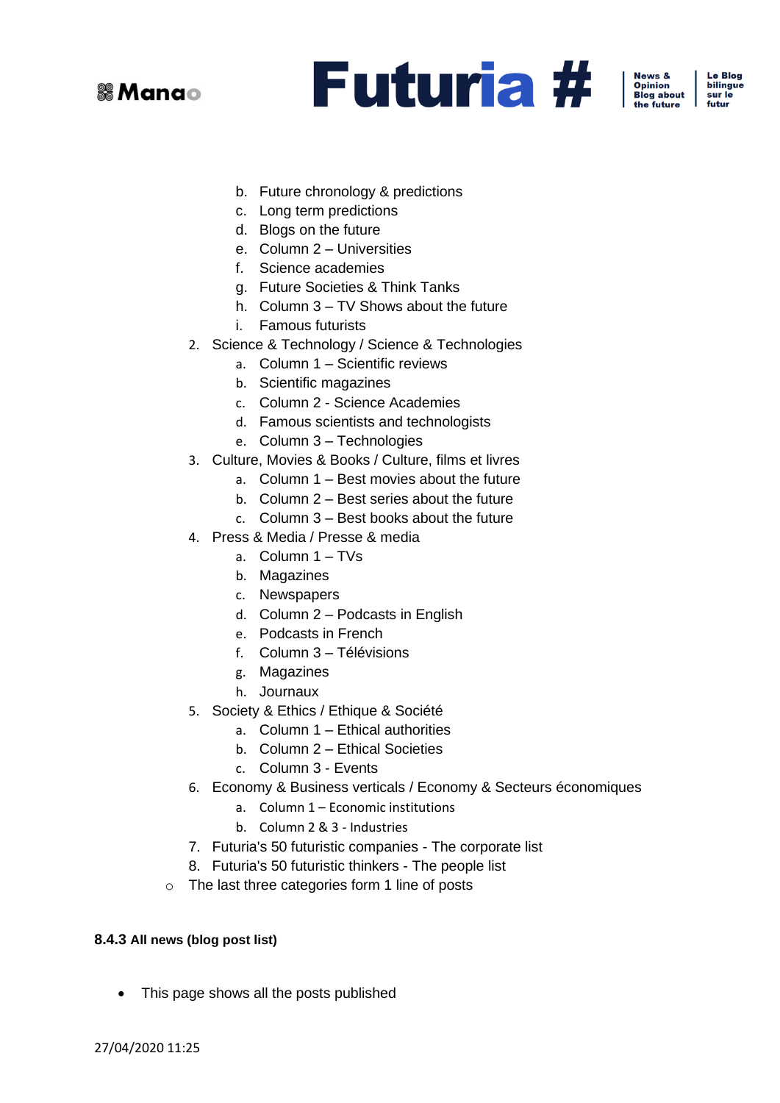

News &<br>Opinion<br>Blog about  $f$ he future

Le Blog bilingue sur le futur

- b. Future chronology & predictions
- c. Long term predictions
- d. Blogs on the future
- e. Column 2 Universities
- f. Science academies
- g. Future Societies & Think Tanks
- h. Column 3 TV Shows about the future
- i. Famous futurists
- 2. Science & Technology / Science & Technologies
	- a. Column 1 Scientific reviews
	- b. Scientific magazines
	- c. Column 2 Science Academies
	- d. Famous scientists and technologists
	- e. Column 3 Technologies
- 3. Culture, Movies & Books / Culture, films et livres
	- a. Column 1 Best movies about the future
	- b. Column 2 Best series about the future
	- c. Column 3 Best books about the future
- 4. Press & Media / Presse & media
	- a. Column 1 TVs
	- b. Magazines
	- c. Newspapers
	- d. Column 2 Podcasts in English
	- e. Podcasts in French
	- f. Column 3 Télévisions
	- g. Magazines
	- h. Journaux
- 5. Society & Ethics / Ethique & Société
	- a. Column 1 Ethical authorities
	- b. Column 2 Ethical Societies
	- c. Column 3 Events
- 6. Economy & Business verticals / Economy & Secteurs économiques
	- a. Column 1 Economic institutions
	- b. Column 2 & 3 Industries
- 7. Futuria's 50 futuristic companies The corporate list
- 8. Futuria's 50 futuristic thinkers The people list
- o The last three categories form 1 line of posts

#### <span id="page-13-0"></span>**8.4.3 All news (blog post list)**

• This page shows all the posts published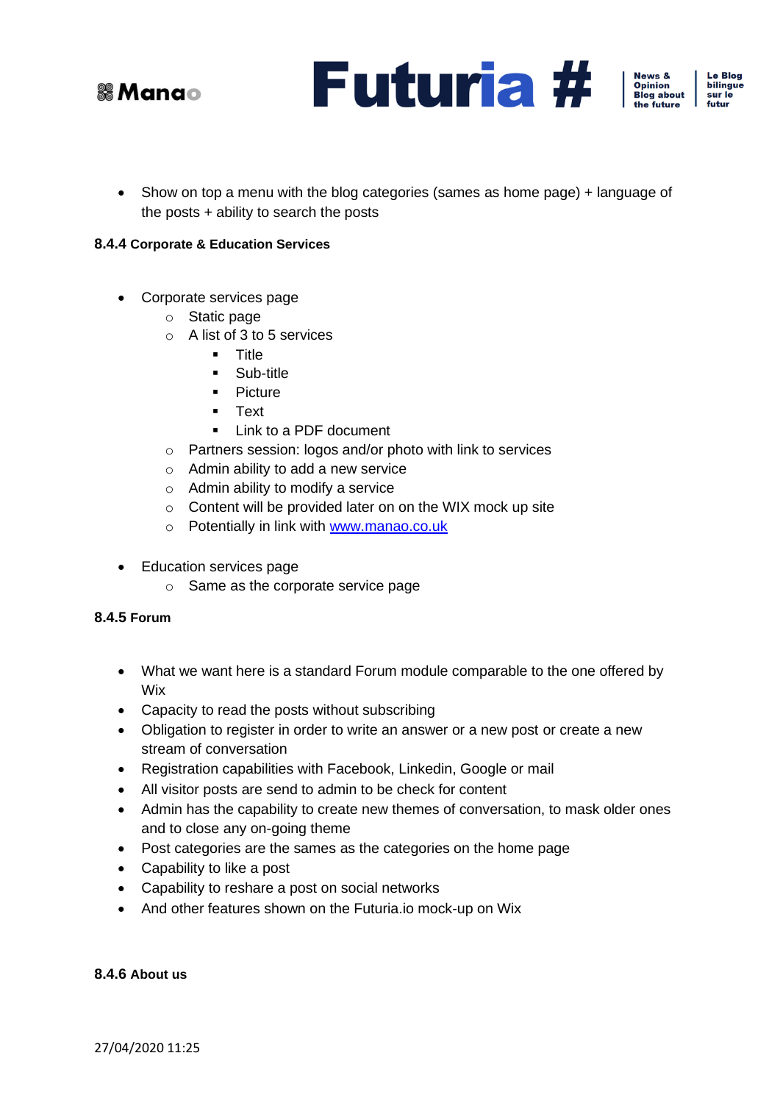





• Show on top a menu with the blog categories (sames as home page) + language of the posts + ability to search the posts

#### <span id="page-14-0"></span>**8.4.4 Corporate & Education Services**

- Corporate services page
	- o Static page
	- o A list of 3 to 5 services
		- Title
		- Sub-title
		- Picture
		- Text
		- **■** Link to a PDF document
	- o Partners session: logos and/or photo with link to services
	- o Admin ability to add a new service
	- o Admin ability to modify a service
	- o Content will be provided later on on the WIX mock up site
	- o Potentially in link with [www.manao.co.uk](http://www.manao.co.uk/)
- Education services page
	- o Same as the corporate service page

#### <span id="page-14-1"></span>**8.4.5 Forum**

- What we want here is a standard Forum module comparable to the one offered by Wix
- Capacity to read the posts without subscribing
- Obligation to register in order to write an answer or a new post or create a new stream of conversation
- Registration capabilities with Facebook, Linkedin, Google or mail
- All visitor posts are send to admin to be check for content
- Admin has the capability to create new themes of conversation, to mask older ones and to close any on-going theme
- Post categories are the sames as the categories on the home page
- Capability to like a post
- Capability to reshare a post on social networks
- And other features shown on the Futuria.io mock-up on Wix

#### <span id="page-14-2"></span>**8.4.6 About us**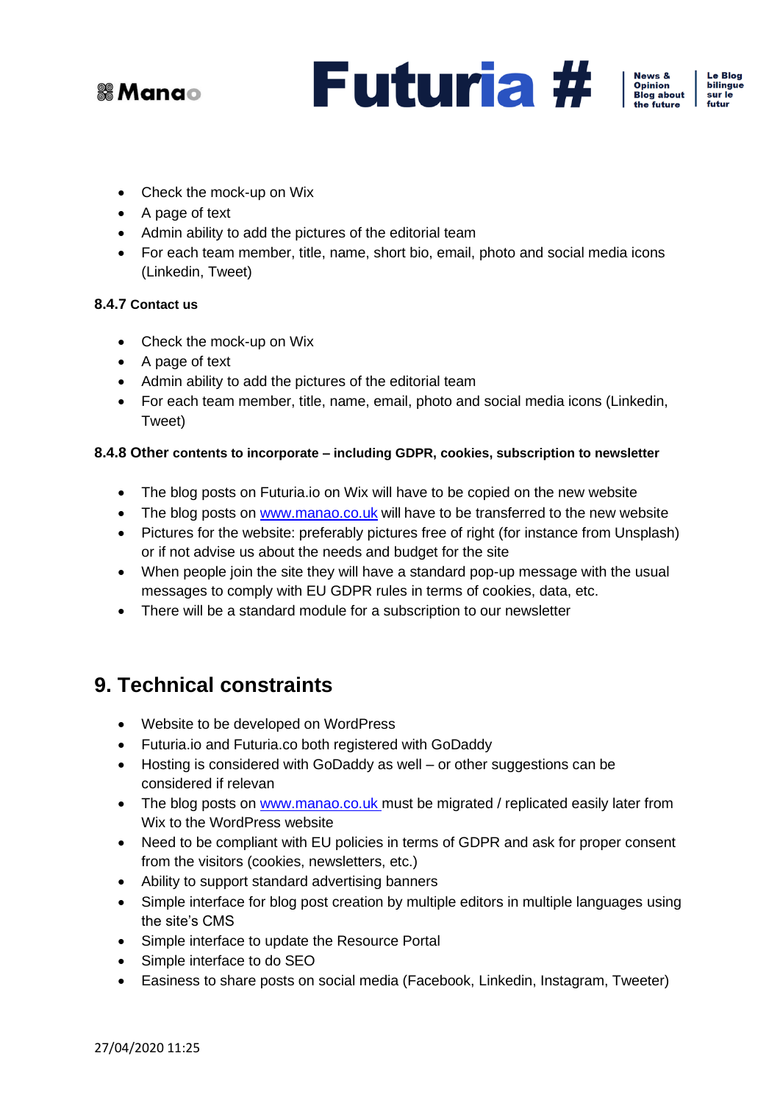

**Futuria #** 



**Le Blog** bilingue sur le futur

- Check the mock-up on Wix
- A page of text
- Admin ability to add the pictures of the editorial team
- For each team member, title, name, short bio, email, photo and social media icons (Linkedin, Tweet)

#### <span id="page-15-0"></span>**8.4.7 Contact us**

- Check the mock-up on Wix
- A page of text
- Admin ability to add the pictures of the editorial team
- For each team member, title, name, email, photo and social media icons (Linkedin, Tweet)

#### <span id="page-15-1"></span>**8.4.8 Other contents to incorporate – including GDPR, cookies, subscription to newsletter**

- The blog posts on Futuria.io on Wix will have to be copied on the new website
- The blog posts on [www.manao.co.uk](http://www.manao.co.uk/) will have to be transferred to the new website
- Pictures for the website: preferably pictures free of right (for instance from Unsplash) or if not advise us about the needs and budget for the site
- When people join the site they will have a standard pop-up message with the usual messages to comply with EU GDPR rules in terms of cookies, data, etc.
- There will be a standard module for a subscription to our newsletter

### <span id="page-15-2"></span>**9. Technical constraints**

- Website to be developed on WordPress
- Futuria.io and Futuria.co both registered with GoDaddy
- Hosting is considered with GoDaddy as well or other suggestions can be considered if relevan
- The blog posts on [www.manao.co.uk](http://www.manao.co.uk/) must be migrated / replicated easily later from Wix to the WordPress website
- Need to be compliant with EU policies in terms of GDPR and ask for proper consent from the visitors (cookies, newsletters, etc.)
- Ability to support standard advertising banners
- Simple interface for blog post creation by multiple editors in multiple languages using the site's CMS
- Simple interface to update the Resource Portal
- Simple interface to do SEO
- Easiness to share posts on social media (Facebook, Linkedin, Instagram, Tweeter)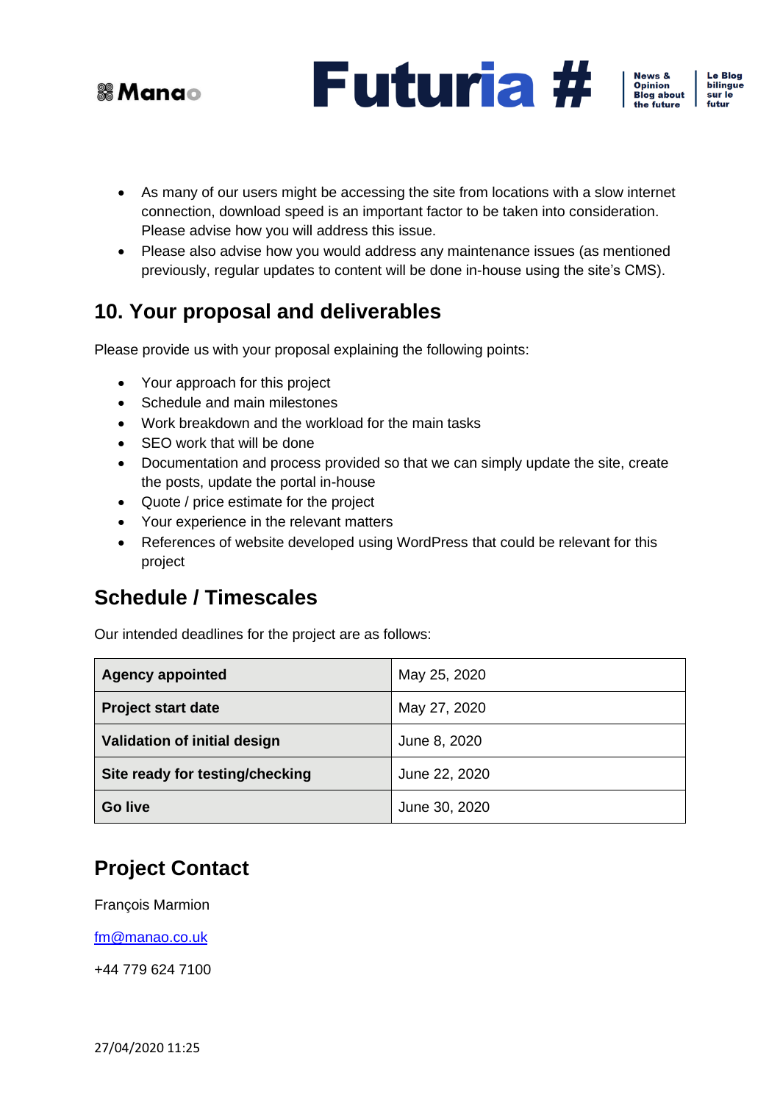





Le Blog bilingue sur le futur

- As many of our users might be accessing the site from locations with a slow internet connection, download speed is an important factor to be taken into consideration. Please advise how you will address this issue.
- Please also advise how you would address any maintenance issues (as mentioned previously, regular updates to content will be done in-house using the site's CMS).

### <span id="page-16-0"></span>**10. Your proposal and deliverables**

Please provide us with your proposal explaining the following points:

- Your approach for this project
- Schedule and main milestones
- Work breakdown and the workload for the main tasks
- SEO work that will be done
- Documentation and process provided so that we can simply update the site, create the posts, update the portal in-house
- Quote / price estimate for the project
- Your experience in the relevant matters
- References of website developed using WordPress that could be relevant for this project

### **Schedule / Timescales**

Our intended deadlines for the project are as follows:

| <b>Agency appointed</b>         | May 25, 2020  |
|---------------------------------|---------------|
| <b>Project start date</b>       | May 27, 2020  |
| Validation of initial design    | June 8, 2020  |
| Site ready for testing/checking | June 22, 2020 |
| <b>Go live</b>                  | June 30, 2020 |

### **Project Contact**

François Marmion

[fm@manao.co.uk](mailto:fm@manao.co.uk)

+44 779 624 7100